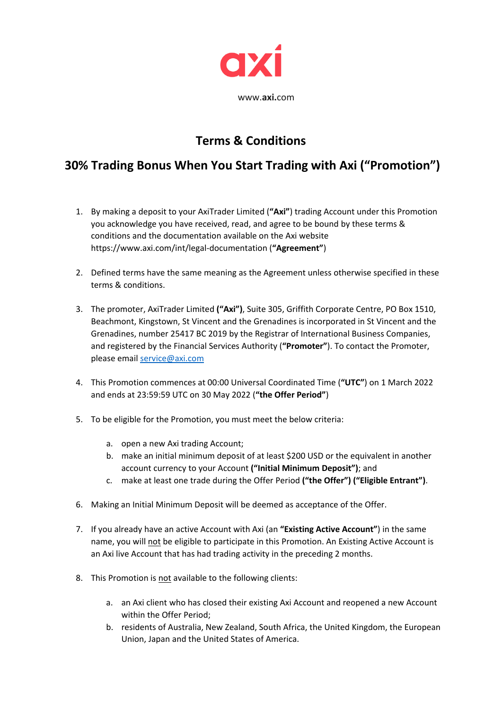

## **Terms & Conditions**

## **30% Trading Bonus When You Start Trading with Axi ("Promotion")**

- 1. By making a deposit to your AxiTrader Limited (**"Axi"**) trading Account under this Promotion you acknowledge you have received, read, and agree to be bound by these terms & conditions and the documentation available on the Axi website https://www.axi.com/int/legal-documentation (**"Agreement"**)
- 2. Defined terms have the same meaning as the Agreement unless otherwise specified in these terms & conditions.
- 3. The promoter, AxiTrader Limited **("Axi")**, Suite 305, Griffith Corporate Centre, PO Box 1510, Beachmont, Kingstown, St Vincent and the Grenadines is incorporated in St Vincent and the Grenadines, number 25417 BC 2019 by the Registrar of International Business Companies, and registered by the Financial Services Authority (**"Promoter"**). To contact the Promoter, please email [service@axi.com](mailto:service@axi.com)
- 4. This Promotion commences at 00:00 Universal Coordinated Time (**"UTC"**) on 1 March 2022 and ends at 23:59:59 UTC on 30 May 2022 (**"the Offer Period"**)
- 5. To be eligible for the Promotion, you must meet the below criteria:
	- a. open a new Axi trading Account;
	- b. make an initial minimum deposit of at least \$200 USD or the equivalent in another account currency to your Account **("Initial Minimum Deposit")**; and
	- c. make at least one trade during the Offer Period **("the Offer") ("Eligible Entrant")**.
- 6. Making an Initial Minimum Deposit will be deemed as acceptance of the Offer.
- 7. If you already have an active Account with Axi (an **"Existing Active Account"**) in the same name, you will not be eligible to participate in this Promotion. An Existing Active Account is an Axi live Account that has had trading activity in the preceding 2 months.
- 8. This Promotion is not available to the following clients:
	- a. an Axi client who has closed their existing Axi Account and reopened a new Account within the Offer Period;
	- b. residents of Australia, New Zealand, South Africa, the United Kingdom, the European Union, Japan and the United States of America.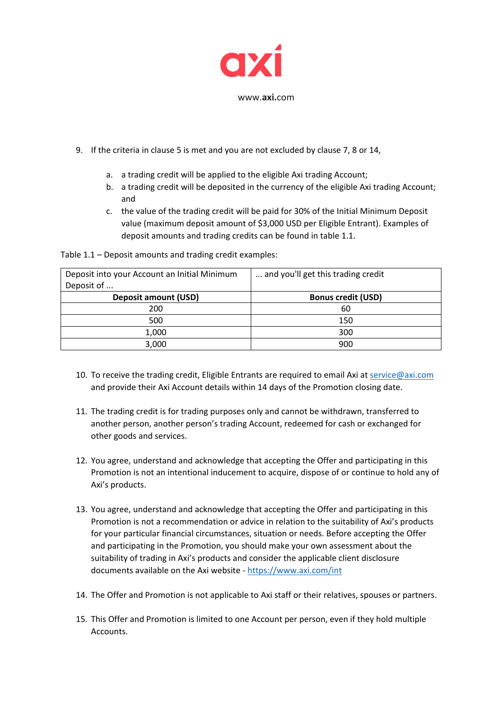

- 9. If the criteria in clause 5 is met and you are not excluded by clause 7, 8 or 14,
	- a. a trading credit will be applied to the eligible Axi trading Account;
	- b. a trading credit will be deposited in the currency of the eligible Axi trading Account; and
	- c. the value of the trading credit will be paid for 30% of the Initial Minimum Deposit value (maximum deposit amount of \$3,000 USD per Eligible Entrant). Examples of deposit amounts and trading credits can be found in table 1.1.

Table 1.1 – Deposit amounts and trading credit examples:

| Deposit into your Account an Initial Minimum<br>Deposit of | and you'll get this trading credit. |
|------------------------------------------------------------|-------------------------------------|
| <b>Deposit amount (USD)</b>                                | <b>Bonus credit (USD)</b>           |
| 200                                                        | 60                                  |
| 500                                                        | 150                                 |
| 1,000                                                      | 300                                 |
| 3,000                                                      | 900                                 |

- 10. To receive the trading credit, Eligible Entrants are required to email Axi at [service@axi.com](mailto:service@axi.com) and provide their Axi Account details within 14 days of the Promotion closing date.
- 11. The trading credit is for trading purposes only and cannot be withdrawn, transferred to another person, another person's trading Account, redeemed for cash or exchanged for other goods and services.
- 12. You agree, understand and acknowledge that accepting the Offer and participating in this Promotion is not an intentional inducement to acquire, dispose of or continue to hold any of Axi's products.
- 13. You agree, understand and acknowledge that accepting the Offer and participating in this Promotion is not a recommendation or advice in relation to the suitability of Axi's products for your particular financial circumstances, situation or needs. Before accepting the Offer and participating in the Promotion, you should make your own assessment about the suitability of trading in Axi's products and consider the applicable client disclosure documents available on the Axi website - <https://www.axi.com/int>
- 14. The Offer and Promotion is not applicable to Axi staff or their relatives, spouses or partners.
- 15. This Offer and Promotion is limited to one Account per person, even if they hold multiple Accounts.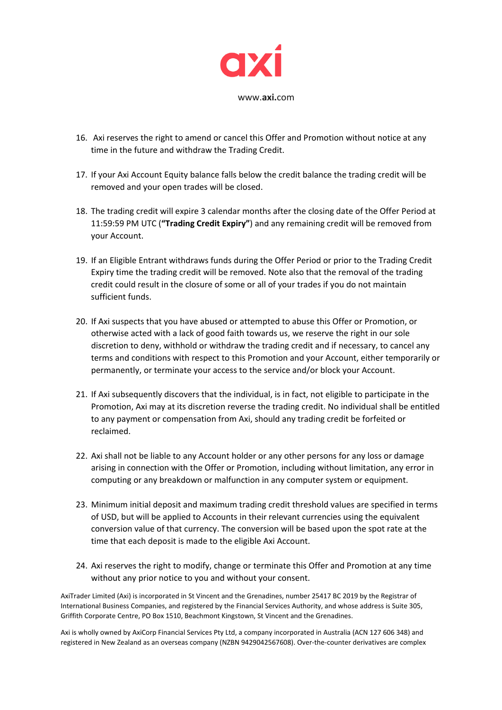

- 16. Axi reserves the right to amend or cancel this Offer and Promotion without notice at any time in the future and withdraw the Trading Credit.
- 17. If your Axi Account Equity balance falls below the credit balance the trading credit will be removed and your open trades will be closed.
- 18. The trading credit will expire 3 calendar months after the closing date of the Offer Period at 11:59:59 PM UTC (**"Trading Credit Expiry"**) and any remaining credit will be removed from your Account.
- 19. If an Eligible Entrant withdraws funds during the Offer Period or prior to the Trading Credit Expiry time the trading credit will be removed. Note also that the removal of the trading credit could result in the closure of some or all of your trades if you do not maintain sufficient funds.
- 20. If Axi suspects that you have abused or attempted to abuse this Offer or Promotion, or otherwise acted with a lack of good faith towards us, we reserve the right in our sole discretion to deny, withhold or withdraw the trading credit and if necessary, to cancel any terms and conditions with respect to this Promotion and your Account, either temporarily or permanently, or terminate your access to the service and/or block your Account.
- 21. If Axi subsequently discovers that the individual, is in fact, not eligible to participate in the Promotion, Axi may at its discretion reverse the trading credit. No individual shall be entitled to any payment or compensation from Axi, should any trading credit be forfeited or reclaimed.
- 22. Axi shall not be liable to any Account holder or any other persons for any loss or damage arising in connection with the Offer or Promotion, including without limitation, any error in computing or any breakdown or malfunction in any computer system or equipment.
- 23. Minimum initial deposit and maximum trading credit threshold values are specified in terms of USD, but will be applied to Accounts in their relevant currencies using the equivalent conversion value of that currency. The conversion will be based upon the spot rate at the time that each deposit is made to the eligible Axi Account.
- 24. Axi reserves the right to modify, change or terminate this Offer and Promotion at any time without any prior notice to you and without your consent.

AxiTrader Limited (Axi) is incorporated in St Vincent and the Grenadines, number 25417 BC 2019 by the Registrar of International Business Companies, and registered by the Financial Services Authority, and whose address is Suite 305, Griffith Corporate Centre, PO Box 1510, Beachmont Kingstown, St Vincent and the Grenadines.

Axi is wholly owned by AxiCorp Financial Services Pty Ltd, a company incorporated in Australia (ACN 127 606 348) and registered in New Zealand as an overseas company (NZBN 9429042567608). Over-the-counter derivatives are complex